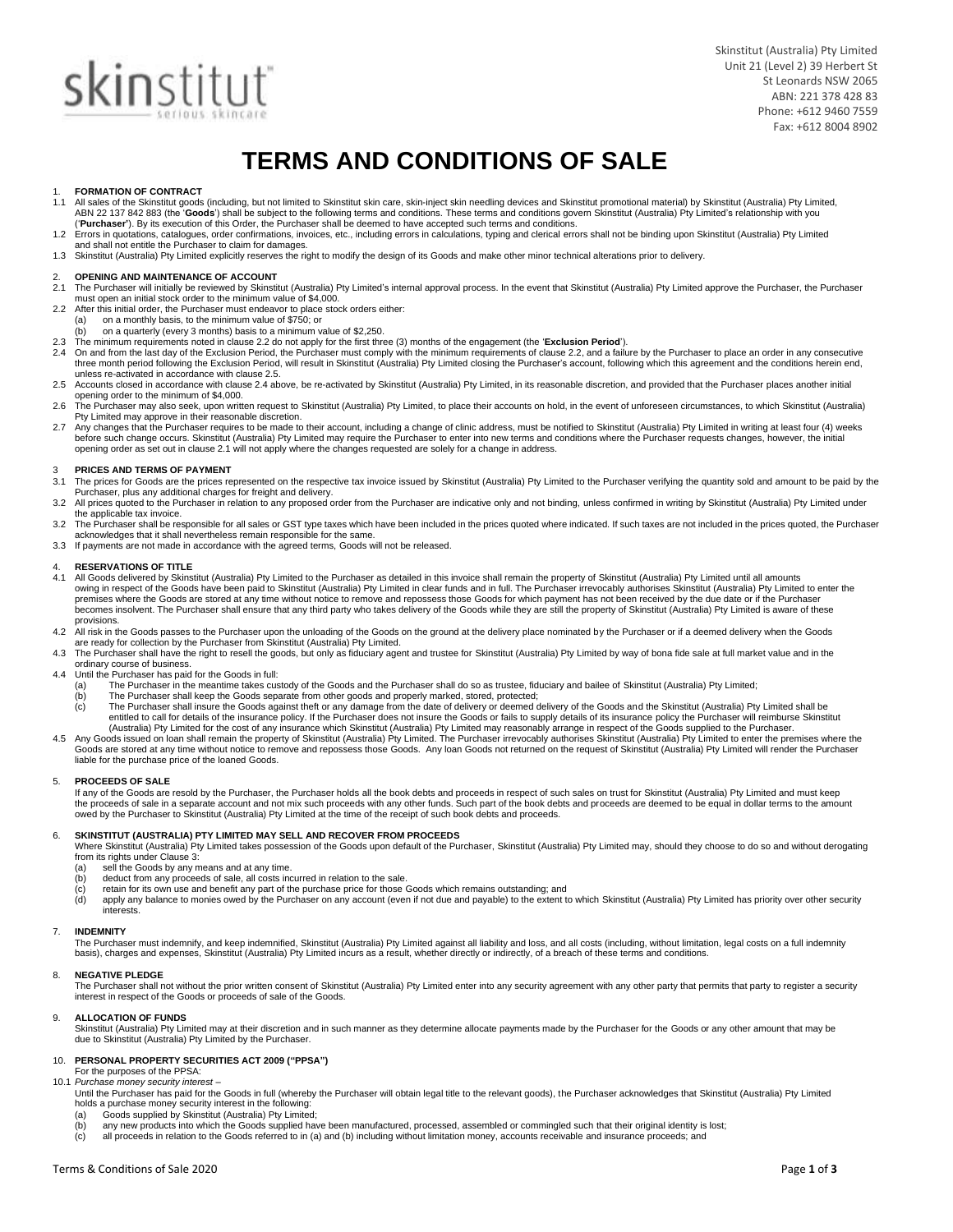# **skin**stitut

Skinstitut (Australia) Pty Limited Unit 21 (Level 2) 39 Herbert St St Leonards NSW 2065 ABN: 221 378 428 83 Phone: +612 9460 7559 Fax: +612 8004 8902

## **TERMS AND CONDITIONS OF SALE**

## 1. **FORMATION OF CONTRACT**

- All sales of the Skinstitut goods (including, but not limited to Skinstitut skin care, skin-inject skin needling devices and Skinstitut promotional material) by Skinstitut (Australia) Pty Limited, ABN 22 137 842 883 (the 'Goods') shall be subject to the following terms and conditions. These terms and conditions govern Skinstitut (Australia) Pty Limited's relationship with you
- ("Purchaser"). By its execution of this Order, the Purchaser shall be deemed to have accepted such terms and conditions.<br>1.2 Errors in quotations, catalogues, order confirmations, invoices, etc., including errors in calcul and shall not entitle the Purchaser to claim for damages.
- 1.3 Skinstitut (Australia) Pty Limited explicitly reserves the right to modify the design of its Goods and make other minor technical alterations prior to delivery.

## 2. **OPENING AND MAINTENANCE OF ACCOUNT**

- The Purchaser will initially be reviewed by Skinstitut (Australia) Pty Limited's internal approval process. In the event that Skinstitut (Australia) Pty Limited approve the Purchaser, the Purchaser must open an initial stock order to the minimum value of \$4,000. 2.2 After this initial order, the Purchaser must endeavor to place stock orders either:
- 
- (a) on a monthly basis, to the minimum value of \$750; or
- (b) on a quarterly (every 3 months) basis to a minimum value of \$2,250.<br>The minimum requirements noted in clause 2.2 do not apply for the first three (3) months of the engagement (the 'Exclusion Period').
- 2.3 The minimum requirements noted in clause 2.2 do not apply for the first three (3) months of the engagement (the 'Exclusion Period').<br>2.4 On and from the last day of the Exclusion Period, the Purchaser must comply with
- 2.5 Accounts closed in accordance with clause 2.4 above, be re-activated by Skinstitut (Australia) Pty Limited, in its reasonable discretion, and provided that the Purchaser places another initial opening order to the minimum of \$4,000.
- 2.6 The Purchaser may also seek, upon written request to Skinstitut (Australia) Pty Limited, to place their accounts on hold, in the event of unforeseen circumstances, to which Skinstitut (Australia) Pty Limited may approve in their reasonable discretion.
- 2.7 Any changes that the Purchaser requires to be made to their account, including a change of clinic address, must be notified to Skinstitut (Australia) Pty Limited in writing at least four (4) weeks before such change occurs. Skinstitut (Australia) Pty Limited may require the Purchaser to enter into new terms and conditions where the Purchaser requests changes, however, the initial opening order as set out in clause 2.1 will not apply where the changes requested are solely for a change in address.

### 3 **PRICES AND TERMS OF PAYMENT**

- The prices for Goods are the prices represented on the respective tax invoice issued by Skinstitut (Australia) Pty Limited to the Purchaser verifying the quantity sold and amount to be paid by the Purchaser, plus any additional charges for freight and delivery.
- 3.2 All prices quoted to the Purchaser in relation to any proposed order from the Purchaser are indicative only and not binding, unless confirmed in writing by Skinstitut (Australia) Pty Limited under the applicable tax invoice.
- 3.2 The Purchaser shall be responsible for all sales or GST type taxes which have been included in the prices quoted where indicated. If such taxes are not included in the prices quoted, the Purchaser acknowledges that it
- 3.3 If payments are not made in accordance with the agreed terms, Goods will not be released.

### 4. **RESERVATIONS OF TITLE**<br>4.1 All Goods delivered by Skins

- 4.1 All Goods delivered by Skinstitut (Australia) Pty Limited to the Purchaser as detailed in this invoice shall remain the property of Skinstitut (Australia) Pty Limited until all amounts<br>owing in respect of the Goods hav premises where the Goods are stored at any time without notice to remove and repossess those Goods for which payment has not been received by the due date or if the Purchaser becomes insolvent. The Purchaser shall ensure that any third party who takes delivery of the Goods while they are still the property of Skinstitut (Australia) Pty Limited is aware of these provisions.
- 4.2 All risk in the Goods passes to the Purchaser upon the unloading of the Goods on the ground at the delivery place nominated by the Purchaser or if a deemed delivery when the Goods<br>are ready for collection by the Purcha
- 4.3 The Purchaser shall have the right to resell the goods, but only as fiduciary agent and trustee for Skinstitut (Australia) Pty Limited by way of bona fide sale at full market value and in the ordinary course of business.
- 4.4 Until the Purchaser has paid for the Goods in full:
	- (a) The Purchaser in the meantime takes custody of the Goods and the Purchaser shall do so as trustee, fiduciary and bailee of Skinstitut (Australia) Pty Limited;<br>(b) The Purchaser shall keep the Goods separate from other
	- The Purchaser shall keep the Goods separate from other goods and properly marked, stored, protected;
	- (c) The Purchaser shall insure the Goods against theft or any damage from the date of delivery or deemed delivery of the Goods and the Skinstitut (Australia) Pty Limited shall be entitled to call for details of the insurance policy. If the Purchaser does not insure the Goods or fails to supply details of its insurance policy the Purchaser will reimburse Skinstitut<br>(Australia) Pty Limited for the co
- 4.5 Any Goods issued on loan shall remain the property of Skinstitut (Australia) Pty Limited. The Purchaser irrevocably authorises Skinstitut (Australia) Pty Limited to enter the premises where the Goods are stored at any time without notice to remove and repossess those Goods. Any loan Goods not returned on the request of Skinstitut (Australia) Pty Limited will render the Purchaser liable for the purchase price of the loaned Goods.

#### 5. **PROCEEDS OF SALE**

If any of the Goods are resold by the Purchaser, the Purchaser holds all the book debts and proceeds in respect of such sales on trust for Skinstitut (Australia) Pty Limited and must keep the proceeds of sale in a separate account and not mix such proceeds with any other funds. Such part of the book debts and proceeds are deemed to be equal in dollar terms to the amount owed by the Purchaser to Skinstitut (Australia) Pty Limited at the time of the receipt of such book debts and proceeds.

#### 6. **SKINSTITUT (AUSTRALIA) PTY LIMITED MAY SELL AND RECOVER FROM PROCEEDS**

Where Skinstitut (Australia) Pty Limited takes possession of the Goods upon default of the Purchaser, Skinstitut (Australia) Pty Limited may, should they choose to do so and without derogating from its rights under Clause 3:

- (a) sell the Goods by any means and at any time.<br>(b) deduct from any proceeds of sale, all costs ine
- (b) deduct from any proceeds of sale, all costs incurred in relation to the sale.<br>
(c) retain for its own use and benefit any part of the purchase price for those (d) apply any balance to monies owed by the Purchaser on a
- 
- (c) retain for its own use and benefit any part of the purchase price for those Goods which remains outstanding; and<br>(d) apply any balance to monies owed by the Purchaser on any account (even if not due and payable) to the interests.

#### 7. **INDEMNITY**

The Purchaser must indemnify, and keep indemnified, Skinstitut (Australia) Pty Limited against all liability and loss, and all costs (including, without limitation, legal costs on a full indemnity<br>basis), charges and expen

#### 8. **NEGATIVE PLEDGE**

The Purchaser shall not without the prior written consent of Skinstitut (Australia) Pty Limited enter into any security agreement with any other party that permits that party to register a security interest in respect of the Goods or proceeds of sale of the Goods.

#### 9. **ALLOCATION OF FUNDS**

Skinstitut (Australia) Pty Limited may at their discretion and in such manner as they determine allocate payments made by the Purchaser for the Goods or any other amount that may be<br>due to Skinstitut (Australia) Pty Limite

#### 10. **PERSONAL PROPERTY SECURITIES ACT 2009 ("PPSA")**

For the purposes of the PPSA: 10.1 *Purchase money security interest –*

- Until the Purchaser has paid for the Goods in full (whereby the Purchaser will obtain legal title to the relevant goods), the Purchaser acknowledges that Skinstitut (Australia) Pty Limited holds a purchase money security interest in the following:
	- (a) Goods supplied by Skinstitut (Australia) Pty Limited;
	- any new products into which the Goods supplied have been manufactured, processed, assembled or commingled such that their original identity is lost;
	- (c) all proceeds in relation to the Goods referred to in (a) and (b) including without limitation money, accounts receivable and insurance proceeds; and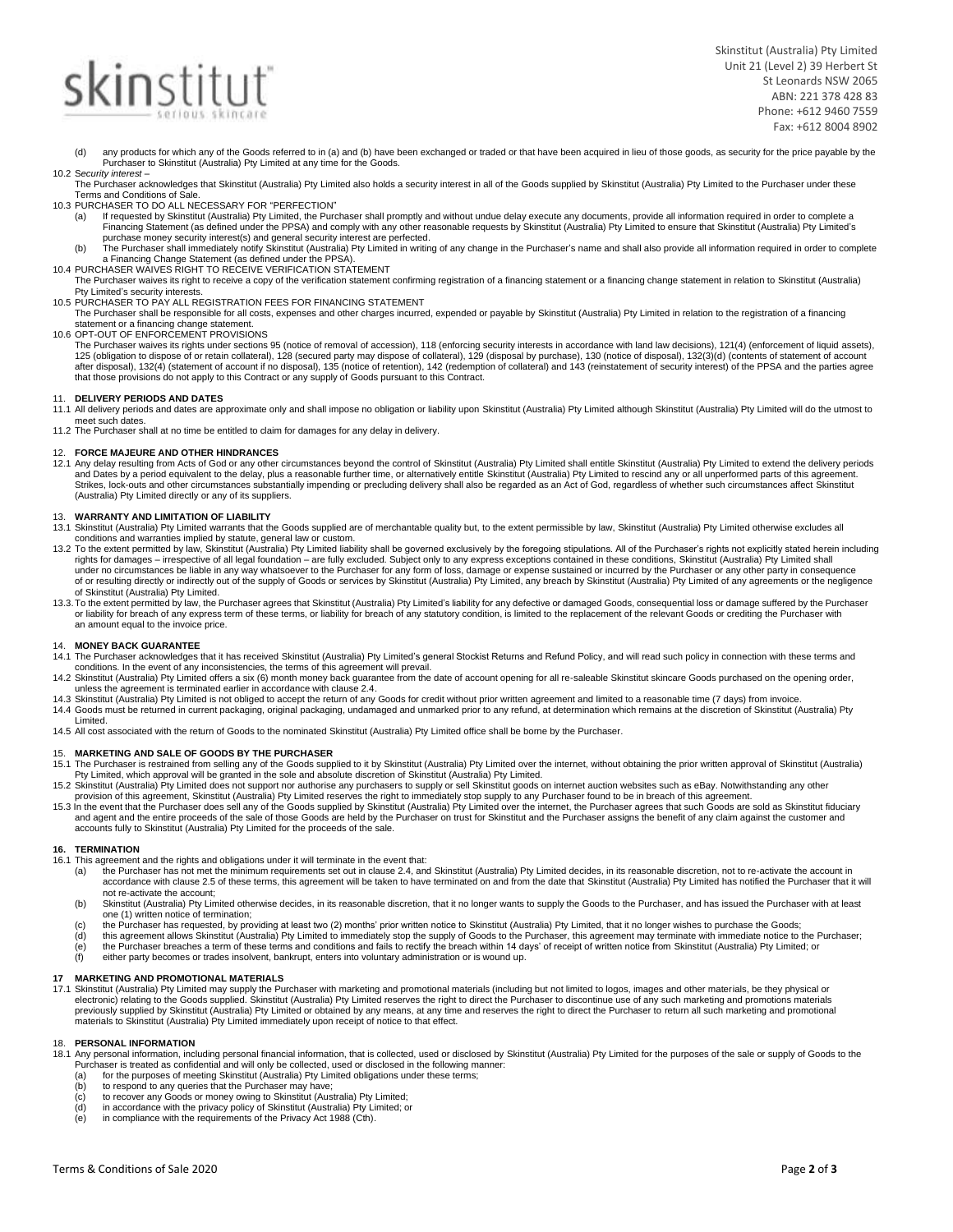## **skin**stitut

Skinstitut (Australia) Pty Limited Unit 21 (Level 2) 39 Herbert St St Leonards NSW 2065 ABN: 221 378 428 83 Phone: +612 9460 7559 Fax: +612 8004 8902

- (d) any products for which any of the Goods referred to in (a) and (b) have been exchanged or traded or that have been acquired in lieu of those goods, as security for the price payable by the Purchaser to Skinstitut (Australia) Pty Limited at any time for the Goods. 10.2 S*ecurity interest –*
- The Purchaser acknowledges that Skinstitut (Australia) Pty Limited also holds a security interest in all of the Goods supplied by Skinstitut (Australia) Pty Limited to the Purchaser under these Terms and Conditions of Sale.

10.3 PURCHASER TO DO ALL NECESSARY FOR "PERFECTION"

- If requested by Skinstitut (Australia) Pty Limited, the Purchaser shall promptly and without undue delay execute any documents, provide all information required in order to complete a Financing Statement (as defined under the PPSA) and comply with any other reasonable requests by Skinstitut (Australia) Pty Limited to ensure that Skinstitut (Australia) Pty Limited's purchase money security interest(s) and general security interest are perfected.
- (b) The Purchaser shall immediately notify Skinstitut (Australia) Pty Limited in writing of any change in the Purchaser's name and shall also provide all information required in order to complete<br>a Financing Change Stateme
- 10.4 PURCHASER WAIVES RIGHT TO RECEIVE VERIFICATION STATEMENT
- The Purchaser waives its right to receive a copy of the verification statement confirming registration of a financing statement or a financing change statement in relation to Skinstitut (Australia) Pty Limited's security interests.
- 10.5 PURCHASER TO PAY ALL REGISTRATION FEES FOR FINANCING STATEMENT
- The Purchaser shall be responsible for all costs, expenses and other charges incurred, expended or payable by Skinstitut (Australia) Pty Limited in relation to the registration of a financing statement or a financing change statement.
- 10.6 OPT-OUT OF ENFORCEMENT PROVISIONS
	- The Purchaser waives its rights under sections 95 (notice of removal of accession), 118 (enforcing security interests in accordance with land law decisions), 121(4) (enforcement of liquid assets), 125 (obligation to dispose of or retain collateral), 128 (secured party may dispose of collateral), 129 (disposal by purchase), 130 (notice of disposal), 132(3)(d) (contents of statement of account<br>after disposal), 132(4) that those provisions do not apply to this Contract or any supply of Goods pursuant to this Contract.

#### 11. **DELIVERY PERIODS AND DATES**

- 11.1 All delivery periods and dates are approximate only and shall impose no obligation or liability upon Skinstitut (Australia) Pty Limited although Skinstitut (Australia) Pty Limited will do the utmost to meet such dates.
- 11.2 The Purchaser shall at no time be entitled to claim for damages for any delay in delivery.

#### 12. **FORCE MAJEURE AND OTHER HINDRANCES**

12.1 Any delay resulting from Acts of God or any other circumstances beyond the control of Skinstitut (Australia) Pty Limited shall entitle Skinstitut (Australia) Pty Limited to extend the delivery periods and Dates by a period equivalent to the delay, plus a reasonable further time, or alternatively entitle Skinstitut (Australia) Pty Limited to rescind any or all unperformed parts of this agreement.<br>Strikes, lock-outs and o (Australia) Pty Limited directly or any of its suppliers.

#### 13. **WARRANTY AND LIMITATION OF LIABILITY**

- 13.1 Skinstitut (Australia) Pty Limited warrants that the Goods supplied are of merchantable quality but, to the extent permissible by law, Skinstitut (Australia) Pty Limited otherwise excludes all<br>conditions and warrantie
- 13.2 To the extent permitted by law, Skinstitut (Australia) Pty Limited liability shall be governed exclusively by the foregoing stipulations. All of the Purchaser's rights not explicitly stated herein including rights for damages – irrespective of all legal foundation – are fully excluded. Subject only to any express exceptions contained in these conditions, Skinstitut (Australia) Pty Limited shall<br>under no circumstances be liabl of or resulting directly or indirectly out of the supply of Goods or services by Skinstitut (Australia) Pty Limited, any breach by Skinstitut (Australia) Pty Limited of any agreements or the negligence<br>of Skinstitut (Austr
- 13.3. To the extent permitted by law, the Purchaser agrees that Skinstitut (Australia) Pty Limited's liability for any defective or damaged Goods, consequential loss or damage suffered by the Purchaser or liability for breach of any express term of these terms, or liability for breach of any statutory condition, is limited to the replacement of the relevant Goods or crediting the Purchaser with<br>an amount equal to the inv

#### 14. **MONEY BACK GUARANTEE**

- 14.1 The Purchaser acknowledges that it has received Skinstitut (Australia) Pty Limited's general Stockist Returns and Refund Policy, and will read such policy in connection with these terms and conditions. In the event of any inconsistencies, the terms of this agreement will prevail.<br>The distingtion provining for all re-saleable Skinstitut skincare Goods purchased on the opening order, 14.2 Skinstitut (Australia)
- 
- unless the agreement is terminated earlier in accordance with clause 2.4.<br>.14.3 Skinstitut (Australia) Pty Limited is not obliged to accept the return of any Goods for credit without prior written agreement and limited to
- 14.4 Goods must be returned in current packaging, original packaging, undamaged and unmarked prior to any refund, at determination which remains at the discretion of Skinstitut (Australia) Pty Limited.
- 14.5 All cost associated with the return of Goods to the nominated Skinstitut (Australia) Pty Limited office shall be borne by the Purchaser.

#### 15. **MARKETING AND SALE OF GOODS BY THE PURCHASER**

- 15.1 The Purchaser is restrained from selling any of the Goods supplied to it by Skinstitut (Australia) Pty Limited over the internet, without obtaining the prior written approval of Skinstitut (Australia)
- Pty Limited, which approval will be granted in the sole and absolute discretion of Skinstitut (Australia) Pty Limited.<br>15.2 Skinstitut (Australia) Pty Limited does not support nor authorise any purchasers to supply or sell
- 15.3 In the event that the Purchaser does sell any of the Goods supplied by Skinstitut (Australia) Pty Limited over the internet, the Purchaser agrees that such Goods are sold as Skinstitut fiduciary<br>and agent and the enti accounts fully to Skinstitut (Australia) Pty Limited for the proceeds of the sale.

#### **16. TERMINATION**

- 16.1 This agreement and the rights and obligations under it will terminate in the event that:
	- (a) the Purchaser has not met the minimum requirements set out in clause 2.4, and Skinstitut (Australia) Pty Limited decides, in its reasonable discretion, not to re-activate the account in accordance with clause 2.5 of these terms, this agreement will be taken to have terminated on and from the date that Skinstitut (Australia) Pty Limited has notified the Purchaser that it will not re-activate the account;
	- (b) Skinstitut (Australia) Pty Limited otherwise decides, in its reasonable discretion, that it no longer wants to supply the Goods to the Purchaser, and has issued the Purchaser with at least one (1) written notice of termination;
	-
	- (c) the Purchaser has requested, by providing at least two (2) months' prior written notice to Skinstitut (Australia) Pty Limited, that it no longer wishes to purchase the Goods;<br>(d) this agreement allows Skinstitut (Austr (e) the Purchaser breaches a term of these terms and conditions and fails to rectify the breach within 14 day<br>(f) either party becomes or trades insolvent, bankrupt, enters into voluntary administration or is wound up.
	-

#### **17 MARKETING AND PROMOTIONAL MATERIALS**

17.1 Skinstitut (Australia) Pty Limited may supply the Purchaser with marketing and promotional materials (including but not limited to logos, images and other materials, be they physical or<br>electronic) relating to the Goo materials to Skinstitut (Australia) Pty Limited immediately upon receipt of notice to that effect.

#### 18. **PERSONAL INFORMATION**

- 18.1 Any personal information, including personal financial information, that is collected, used or disclosed by Skinstitut (Australia) Pty Limited for the purposes of the sale or supply of Goods to the bered, used or disc
	- (a) for the purposes of meeting Skinstitut (Australia) Pty Limited obligations under these term<br>(b) to respond to any queries that the Purchaser may have;<br>(c) to recover any Goods or money owing to Skinstitut (Australia) P
	-
	- (b) to respond to any queries that the Purchaser may have;<br>(c) to recover any Goods or money owing to Skinstitut (Australia) Pty Limited;<br>(d) in accordance with the privacy policy of Skinstitut (Australia) Pty Limited; or<br>
	-
	-